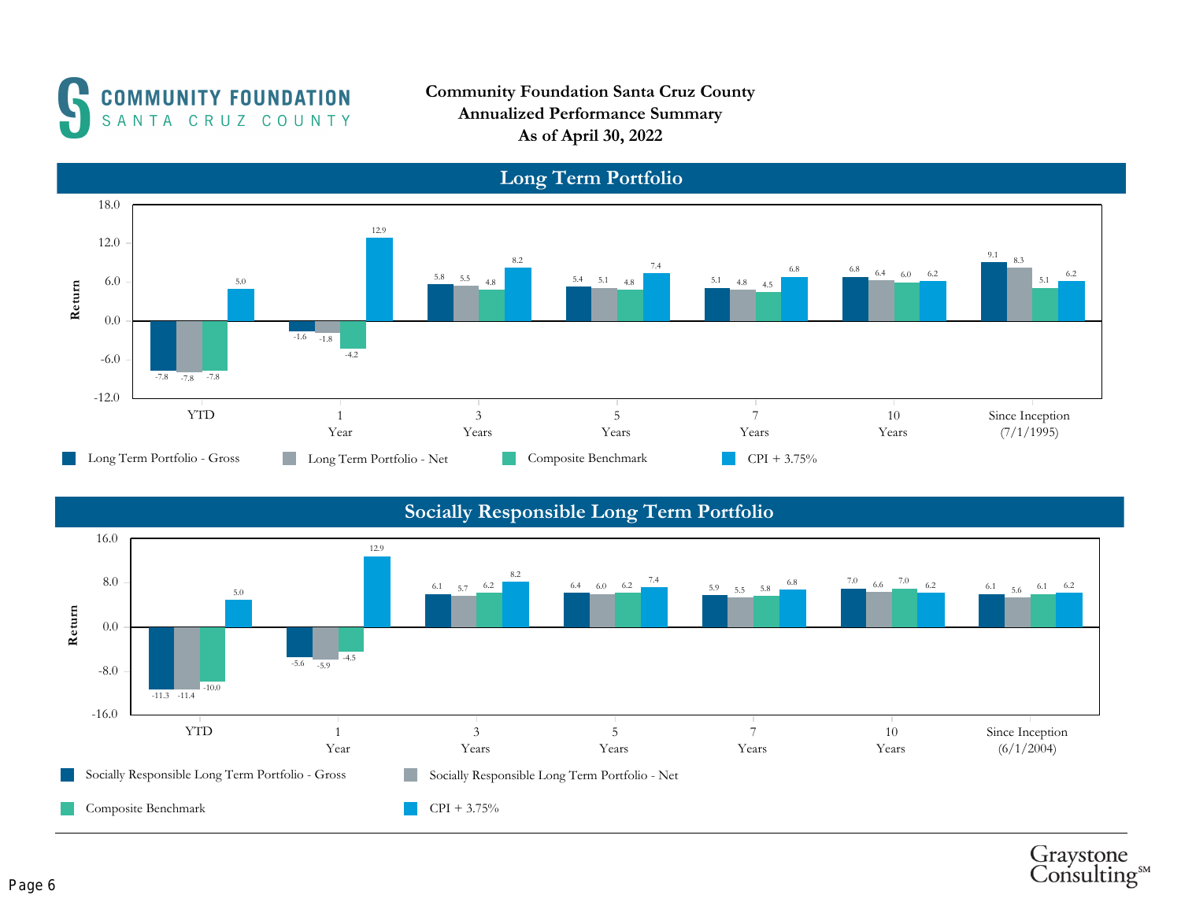

Community Foundation Santa Cruz County Annualized Performance Summary As of April 30, 2022